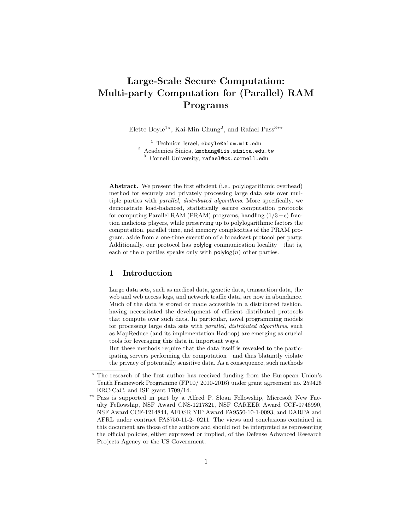# Large-Scale Secure Computation: Multi-party Computation for (Parallel) RAM Programs

Elette Boyle<sup>1\*</sup>, Kai-Min Chung<sup>2</sup>, and Rafael Pass<sup>3\*\*</sup>

<sup>1</sup> Technion Israel, eboyle@alum.mit.edu <sup>2</sup> Academica Sinica, kmchung@iis.sinica.edu.tw <sup>3</sup> Cornell University, rafael@cs.cornell.edu

Abstract. We present the first efficient (i.e., polylogarithmic overhead) method for securely and privately processing large data sets over multiple parties with parallel, distributed algorithms. More specifically, we demonstrate load-balanced, statistically secure computation protocols for computing Parallel RAM (PRAM) programs, handling  $(1/3-\epsilon)$  fraction malicious players, while preserving up to polylogarithmic factors the computation, parallel time, and memory complexities of the PRAM program, aside from a one-time execution of a broadcast protocol per party. Additionally, our protocol has polylog communication locality—that is, each of the *n* parties speaks only with  $\text{polylog}(n)$  other parties.

## 1 Introduction

Large data sets, such as medical data, genetic data, transaction data, the web and web access logs, and network traffic data, are now in abundance. Much of the data is stored or made accessible in a distributed fashion, having necessitated the development of efficient distributed protocols that compute over such data. In particular, novel programming models for processing large data sets with parallel, distributed algorithms, such as MapReduce (and its implementation Hadoop) are emerging as crucial tools for leveraging this data in important ways.

But these methods require that the data itself is revealed to the participating servers performing the computation—and thus blatantly violate the privacy of potentially sensitive data. As a consequence, such methods

<sup>?</sup> The research of the first author has received funding from the European Union's Tenth Framework Programme (FP10/ 2010-2016) under grant agreement no. 259426 ERC-CaC, and ISF grant 1709/14.

<sup>\*\*</sup> Pass is supported in part by a Alfred P. Sloan Fellowship, Microsoft New Faculty Fellowship, NSF Award CNS-1217821, NSF CAREER Award CCF-0746990, NSF Award CCF-1214844, AFOSR YIP Award FA9550-10-1-0093, and DARPA and AFRL under contract FA8750-11-2- 0211. The views and conclusions contained in this document are those of the authors and should not be interpreted as representing the official policies, either expressed or implied, of the Defense Advanced Research Projects Agency or the US Government.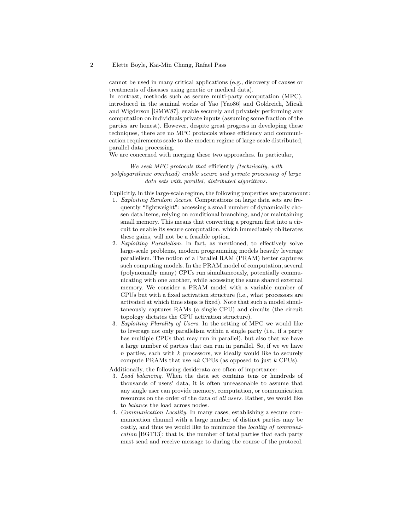cannot be used in many critical applications (e.g., discovery of causes or treatments of diseases using genetic or medical data).

In contrast, methods such as secure multi-party computation (MPC), introduced in the seminal works of Yao [Yao86] and Goldreich, Micali and Wigderson [GMW87], enable securely and privately performing any computation on individuals private inputs (assuming some fraction of the parties are honest). However, despite great progress in developing these techniques, there are no MPC protocols whose efficiency and communication requirements scale to the modern regime of large-scale distributed, parallel data processing.

We are concerned with merging these two approaches. In particular,

We seek MPC protocols that efficiently (technically, with polylogarithmic overhead) enable secure and private processing of large data sets with parallel, distributed algorithms.

Explicitly, in this large-scale regime, the following properties are paramount:

- 1. Exploiting Random Access. Computations on large data sets are frequently "lightweight": accessing a small number of dynamically chosen data items, relying on conditional branching, and/or maintaining small memory. This means that converting a program first into a circuit to enable its secure computation, which immediately obliterates these gains, will not be a feasible option.
- 2. Exploiting Parallelism. In fact, as mentioned, to effectively solve large-scale problems, modern programming models heavily leverage parallelism. The notion of a Parallel RAM (PRAM) better captures such computing models. In the PRAM model of computation, several (polynomially many) CPUs run simultaneously, potentially communicating with one another, while accessing the same shared external memory. We consider a PRAM model with a variable number of CPUs but with a fixed activation structure (i.e., what processors are activated at which time steps is fixed). Note that such a model simultaneously captures RAMs (a single CPU) and circuits (the circuit topology dictates the CPU activation structure).
- 3. Exploiting Plurality of Users. In the setting of MPC we would like to leverage not only parallelism within a single party (i.e., if a party has multiple CPUs that may run in parallel), but also that we have a large number of parties that can run in parallel. So, if we we have  $n$  parties, each with  $k$  processors, we ideally would like to securely compute PRAMs that use  $nk$  CPUs (as opposed to just  $k$  CPUs).

Additionally, the following desiderata are often of importance:

- 3. Load balancing. When the data set contains tens or hundreds of thousands of users' data, it is often unreasonable to assume that any single user can provide memory, computation, or communication resources on the order of the data of all users. Rather, we would like to balance the load across nodes.
- 4. Communication Locality. In many cases, establishing a secure communication channel with a large number of distinct parties may be costly, and thus we would like to minimize the locality of communication [BGT13]: that is, the number of total parties that each party must send and receive message to during the course of the protocol.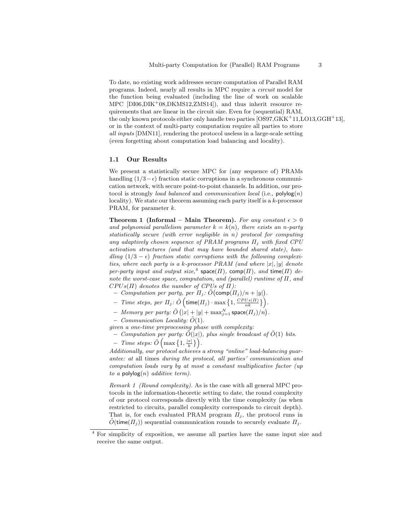To date, no existing work addresses secure computation of Parallel RAM programs. Indeed, nearly all results in MPC require a circuit model for the function being evaluated (including the line of work on scalable MPC  $[DI06, DIK^+08, DKMS12, ZMS14]$ , and thus inherit resource requirements that are linear in the circuit size. Even for (sequential) RAM, the only known protocols either only handle two parties  $[OS97,\text{GKK}^+11,\text{LO}13,\text{GGH}^+13]$ , or in the context of multi-party computation require all parties to store all inputs [DMN11], rendering the protocol useless in a large-scale setting (even forgetting about computation load balancing and locality).

#### 1.1 Our Results

We present a statistically secure MPC for (any sequence of) PRAMs handling  $(1/3-\epsilon)$  fraction static corruptions in a synchronous communication network, with secure point-to-point channels. In addition, our protocol is strongly *load balanced* and *communication local* (i.e.,  $polylog(n)$ ) locality). We state our theorem assuming each party itself is a k-processor PRAM, for parameter  $k$ .

Theorem 1 (Informal – Main Theorem). For any constant  $\epsilon > 0$ and polynomial parallelism parameter  $k = k(n)$ , there exists an n-party statistically secure (with error negligible in n) protocol for computing any adaptively chosen sequence of PRAM programs  $\Pi_i$  with fixed CPU activation structures (and that may have bounded shared state), handling  $(1/3 - \epsilon)$  fraction static corruptions with the following complexities, where each party is a k-processor PRAM (and where  $|x|, |y|$  denote per-party input and output size,<sup>4</sup> space( $\Pi$ ), comp( $\Pi$ ), and time( $\Pi$ ) denote the worst-case space, computation, and (parallel) runtime of  $\Pi$ , and  $CPUs(\Pi)$  denotes the number of CPUs of  $\Pi$ ):

- Computation per party, per  $\Pi_j$ :  $\tilde{O}(\text{comp}(H_j)/n + |y|)$ .
- Time steps, per  $\Pi_j$ :  $\tilde{O} \left( \text{time}(H_j) \cdot \max\left\{1, \frac{CPUs(H)}{nk} \right\} \right)$ .
- $-$  Memory per party:  $\tilde{O}\left(|x|+|y|+\max_{j=1}^N{\sf space}( \Pi_j)/n\right).$

– Communication Locality:  $\tilde{O}(1)$ .

given a one-time preprocessing phase with complexity:

- Computation per party:  $\tilde{O}(|x|)$ , plus single broadcast of  $\tilde{O}(1)$  bits.
- $-$  Time steps:  $\tilde{O}\left(\max\left\{1,\frac{|x|}{k}\right\}\right)$ .

Additionally, our protocol achieves a strong "online" load-balancing quarantee: at all times during the protocol, all parties' communication and computation loads vary by at most a constant multiplicative factor (up to a polylog $(n)$  additive term).

Remark 1 (Round complexity). As is the case with all general MPC protocols in the information-theoretic setting to date, the round complexity of our protocol corresponds directly with the time complexity (as when restricted to circuits, parallel complexity corresponds to circuit depth). That is, for each evaluated PRAM program  $\Pi_i$ , the protocol runs in  $\tilde{O}(\text{time}(H_i))$  sequential communication rounds to securely evaluate  $\tilde{H}_i$ .

<sup>4</sup> For simplicity of exposition, we assume all parties have the same input size and receive the same output.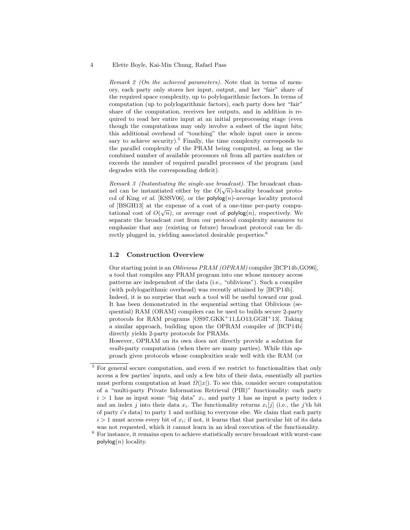Remark 2 (On the achieved parameters). Note that in terms of memory, each party only stores her input, output, and her "fair" share of the required space complexity, up to polylogarithmic factors. In terms of computation (up to polylogarithmic factors), each party does her "fair" share of the computation, receives her outputs, and in addition is required to read her entire input at an initial preprocessing stage (even though the computations may only involve a subset of the input bits; this additional overhead of "touching" the whole input once is necessary to achieve security).<sup>5</sup> Finally, the time complexity corresponds to the parallel complexity of the PRAM being computed, as long as the combined number of available processors nk from all parties matches or exceeds the number of required parallel processes of the program (and degrades with the corresponding deficit).

Remark 3 (Instantiating the single-use broadcast). The broadcast channel can be instantiated either by the  $O(\sqrt{n})$ -locality broadcast protocol of King et al. [KSSV06], or the  $polylog(n)$ -average locality protocol of [BSGH13] at the expense of a cost of a one-time per-party computational cost of  $O(\sqrt{n})$ , or average cost of polylog $(n)$ , respectively. We separate the broadcast cost from our protocol complexity measures to emphasize that any (existing or future) broadcast protocol can be directly plugged in, yielding associated desirable properties.<sup>6</sup>

## 1.2 Construction Overview

Our starting point is an Oblivious PRAM (OPRAM) compiler [BCP14b,GO96], a tool that compiles any PRAM program into one whose memory access patterns are independent of the data (i.e., "oblivious"). Such a compiler (with polylogarithmic overhead) was recently attained by [BCP14b]. Indeed, it is no surprise that such a tool will be useful toward our goal. It has been demonstrated in the sequential setting that Oblivious (sequential) RAM (ORAM) compilers can be used to builds secure 2-party protocols for RAM programs [OS97,GKK<sup>+</sup>11,LO13,GGH<sup>+</sup>13]. Taking a similar approach, building upon the OPRAM compiler of [BCP14b] directly yields 2-party protocols for PRAMs. However, OPRAM on its own does not directly provide a solution for

multi-party computation (when there are many parties). While this approach gives protocols whose complexities scale well with the RAM (or

<sup>5</sup> For general secure computation, and even if we restrict to functionalities that only access a few parties' inputs, and only a few bits of their data, essentially all parties must perform computation at least  $\Omega(|x|)$ . To see this, consider secure computation of a "multi-party Private Information Retrieval (PIR)" functionality: each party  $i > 1$  has as input some "big data"  $x_i$ , and party 1 has as input a party index i and an index j into their data  $x_i$ . The functionality returns  $x_i[j]$  (i.e., the j'th bit of party i's data) to party 1 and nothing to everyone else. We claim that each party  $i > 1$  must access every bit of  $x_i$ ; if not, it learns that that particular bit of its data was not requested, which it cannot learn in an ideal execution of the functionality.

 $6$  For instance, it remains open to achieve statistically secure broadcast with worst-case polylog $(n)$  locality.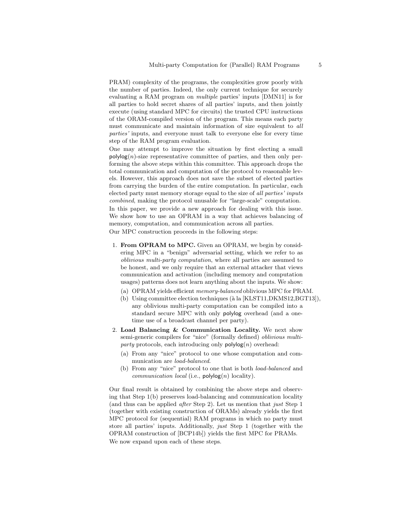PRAM) complexity of the programs, the complexities grow poorly with the number of parties. Indeed, the only current technique for securely evaluating a RAM program on multiple parties' inputs [DMN11] is for all parties to hold secret shares of all parties' inputs, and then jointly execute (using standard MPC for circuits) the trusted CPU instructions of the ORAM-compiled version of the program. This means each party must communicate and maintain information of size equivalent to all parties' inputs, and everyone must talk to everyone else for every time step of the RAM program evaluation.

One may attempt to improve the situation by first electing a small  $polylog(n)$ -size representative committee of parties, and then only performing the above steps within this committee. This approach drops the total communication and computation of the protocol to reasonable levels. However, this approach does not save the subset of elected parties from carrying the burden of the entire computation. In particular, each elected party must memory storage equal to the size of all parties' inputs combined, making the protocol unusable for "large-scale" computation.

In this paper, we provide a new approach for dealing with this issue. We show how to use an OPRAM in a way that achieves balancing of memory, computation, and communication across all parties.

Our MPC construction proceeds in the following steps:

- 1. From OPRAM to MPC. Given an OPRAM, we begin by considering MPC in a "benign" adversarial setting, which we refer to as oblivious multi-party computation, where all parties are assumed to be honest, and we only require that an external attacker that views communication and activation (including memory and computation usages) patterns does not learn anything about the inputs. We show:
	- (a) OPRAM yields efficient memory-balanced oblivious MPC for PRAM.
	- (b) Using committee election techniques (à la [KLST11,DKMS12,BGT13]), any oblivious multi-party computation can be compiled into a standard secure MPC with only polylog overhead (and a onetime use of a broadcast channel per party).
- 2. Load Balancing & Communication Locality. We next show semi-generic compilers for "nice" (formally defined) *oblivious multiparty* protocols, each introducing only  $\text{polylog}(n)$  overhead:
	- (a) From any "nice" protocol to one whose computation and communication are load-balanced.
	- (b) From any "nice" protocol to one that is both load-balanced and *communication local* (i.e.,  $polylog(n)$  locality).

Our final result is obtained by combining the above steps and observing that Step 1(b) preserves load-balancing and communication locality (and thus can be applied after Step 2). Let us mention that just Step 1 (together with existing construction of ORAMs) already yields the first MPC protocol for (sequential) RAM programs in which no party must store all parties' inputs. Additionally, just Step 1 (together with the OPRAM construction of [BCP14b]) yields the first MPC for PRAMs. We now expand upon each of these steps.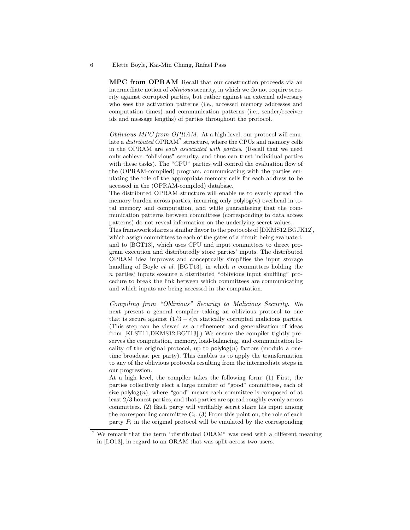MPC from OPRAM Recall that our construction proceeds via an intermediate notion of oblivious security, in which we do not require security against corrupted parties, but rather against an external adversary who sees the activation patterns (i.e., accessed memory addresses and computation times) and communication patterns (i.e., sender/receiver ids and message lengths) of parties throughout the protocol.

Oblivious MPC from OPRAM. At a high level, our protocol will emulate a *distributed* OPRAM<sup>7</sup> structure, where the CPUs and memory cells in the OPRAM are each associated with parties. (Recall that we need only achieve "oblivious" security, and thus can trust individual parties with these tasks). The "CPU" parties will control the evaluation flow of the (OPRAM-compiled) program, communicating with the parties emulating the role of the appropriate memory cells for each address to be accessed in the (OPRAM-compiled) database.

The distributed OPRAM structure will enable us to evenly spread the memory burden across parties, incurring only  $\mathsf{polylog}(n)$  overhead in total memory and computation, and while guaranteeing that the communication patterns between committees (corresponding to data access patterns) do not reveal information on the underlying secret values. This framework shares a similar flavor to the protocols of [DKMS12,BGJK12], which assign committees to each of the gates of a circuit being evaluated, and to [BGT13], which uses CPU and input committees to direct program execution and distributedly store parties' inputs. The distributed OPRAM idea improves and conceptually simplifies the input storage handling of Boyle *et al.* [BGT13], in which  $n$  committees holding the n parties' inputs execute a distributed "oblivious input shuffling" procedure to break the link between which committees are communicating and which inputs are being accessed in the computation.

Compiling from "Oblivious" Security to Malicious Security. We next present a general compiler taking an oblivious protocol to one that is secure against  $(1/3 - \epsilon)n$  statically corrupted malicious parties. (This step can be viewed as a refinement and generalization of ideas from [KLST11,DKMS12,BGT13].) We ensure the compiler tightly preserves the computation, memory, load-balancing, and communication locality of the original protocol, up to  $\mathsf{polylog}(n)$  factors (modulo a onetime broadcast per party). This enables us to apply the transformation to any of the oblivious protocols resulting from the intermediate steps in our progression.

At a high level, the compiler takes the following form: (1) First, the parties collectively elect a large number of "good" committees, each of size  $polylog(n)$ , where "good" means each committee is composed of at least 2/3 honest parties, and that parties are spread roughly evenly across committees. (2) Each party will verifiably secret share his input among the corresponding committee  $C_i$ . (3) From this point on, the role of each party  $P_i$  in the original protocol will be emulated by the corresponding

<sup>7</sup> We remark that the term "distributed ORAM" was used with a different meaning in [LO13], in regard to an ORAM that was split across two users.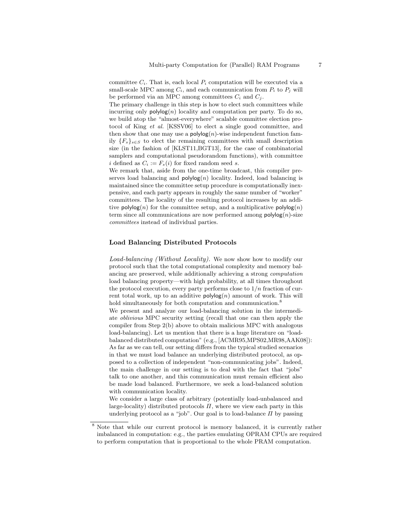committee  $C_i$ . That is, each local  $P_i$  computation will be executed via a small-scale MPC among  $C_i$ , and each communication from  $P_i$  to  $P_j$  will be performed via an MPC among committees  $C_i$  and  $C_j$ .

The primary challenge in this step is how to elect such committees while incurring only  $polylog(n)$  locality and computation per party. To do so, we build atop the "almost-everywhere" scalable committee election protocol of King et al. [KSSV06] to elect a single good committee, and then show that one may use a  $\text{polylog}(n)$ -wise independent function family  ${F<sub>s</sub>}<sub>s∈S</sub>$  to elect the remaining committees with small description size (in the fashion of [KLST11,BGT13], for the case of combinatorial samplers and computational pseudorandom functions), with committee i defined as  $C_i := F_s(i)$  for fixed random seed s.

We remark that, aside from the one-time broadcast, this compiler preserves load balancing and  $\text{polylog}(n)$  locality. Indeed, load balancing is maintained since the committee setup procedure is computationally inexpensive, and each party appears in roughly the same number of "worker" committees. The locality of the resulting protocol increases by an additive polylog(n) for the committee setup, and a multiplicative polylog(n) term since all communications are now performed among  $\mathsf{polylog}(n)$ -size committees instead of individual parties.

### Load Balancing Distributed Protocols

Load-balancing (Without Locality). We now show how to modify our protocol such that the total computational complexity and memory balancing are preserved, while additionally achieving a strong computation load balancing property—with high probability, at all times throughout the protocol execution, every party performs close to  $1/n$  fraction of current total work, up to an additive  $polylog(n)$  amount of work. This will hold simultaneously for both computation and communication.<sup>8</sup> We present and analyze our load-balancing solution in the intermediate oblivious MPC security setting (recall that one can then apply the compiler from Step 2(b) above to obtain malicious MPC with analogous load-balancing). Let us mention that there is a huge literature on "loadbalanced distributed computation" (e.g., [ACMR95,MPS02,MR98,AAK08]): As far as we can tell, our setting differs from the typical studied scenarios in that we must load balance an underlying distributed protocol, as opposed to a collection of independent "non-communicating jobs". Indeed, the main challenge in our setting is to deal with the fact that "jobs" talk to one another, and this communication must remain efficient also be made load balanced. Furthermore, we seek a load-balanced solution with communication locality.

We consider a large class of arbitrary (potentially load-unbalanced and large-locality) distributed protocols  $\Pi$ , where we view each party in this underlying protocol as a "job". Our goal is to load-balance  $\Pi$  by passing

<sup>8</sup> Note that while our current protocol is memory balanced, it is currently rather imbalanced in computation: e.g., the parties emulating OPRAM CPUs are required to perform computation that is proportional to the whole PRAM computation.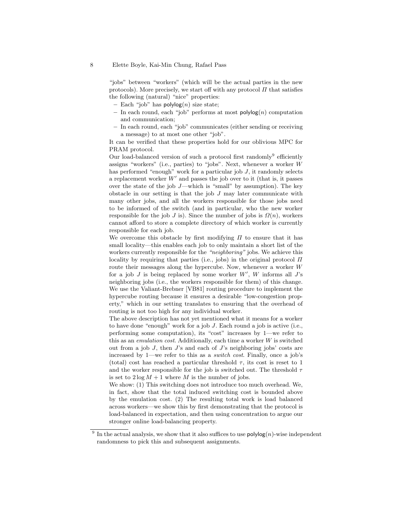"jobs" between "workers" (which will be the actual parties in the new protocols). More precisely, we start off with any protocol  $\Pi$  that satisfies the following (natural) "nice" properties:

- Each "job" has polylog $(n)$  size state;
- In each round, each "job" performs at most  $\mathsf{polylog}(n)$  computation and communication;
- In each round, each "job" communicates (either sending or receiving a message) to at most one other "job".

It can be verified that these properties hold for our oblivious MPC for PRAM protocol.

Our load-balanced version of such a protocol first randomly<sup>9</sup> efficiently assigns "workers" (i.e., parties) to "jobs". Next, whenever a worker W has performed "enough" work for a particular job  $J$ , it randomly selects a replacement worker  $W'$  and passes the job over to it (that is, it passes over the state of the job  $J$ —which is "small" by assumption). The key obstacle in our setting is that the job  $J$  may later communicate with many other jobs, and all the workers responsible for those jobs need to be informed of the switch (and in particular, who the new worker responsible for the job J is). Since the number of jobs is  $\Omega(n)$ , workers cannot afford to store a complete directory of which worker is currently responsible for each job.

We overcome this obstacle by first modifying  $\Pi$  to ensure that it has small locality—this enables each job to only maintain a short list of the workers currently responsible for the "neighboring" jobs. We achieve this locality by requiring that parties (i.e., jobs) in the original protocol  $\Pi$ route their messages along the hypercube. Now, whenever a worker W for a job  $J$  is being replaced by some worker  $W'$ ,  $W$  informs all  $J$ 's neighboring jobs (i.e., the workers responsible for them) of this change. We use the Valiant-Brebner [VB81] routing procedure to implement the hypercube routing because it ensures a desirable "low-congestion property," which in our setting translates to ensuring that the overhead of routing is not too high for any individual worker.

The above description has not yet mentioned what it means for a worker to have done "enough" work for a job J. Each round a job is active (i.e., performing some computation), its "cost" increases by 1—we refer to this as an *emulation cost*. Additionally, each time a worker  $W$  is switched out from a job  $J$ , then  $J$ 's and each of  $J$ 's neighboring jobs' costs are increased by  $1$ —we refer to this as a *switch cost*. Finally, once a job's (total) cost has reached a particular threshold  $\tau$ , its cost is reset to 1 and the worker responsible for the job is switched out. The threshold  $\tau$ is set to  $2 \log M + 1$  where M is the number of jobs.

We show: (1) This switching does not introduce too much overhead. We, in fact, show that the total induced switching cost is bounded above by the emulation cost. (2) The resulting total work is load balanced across workers—we show this by first demonstrating that the protocol is load-balanced in expectation, and then using concentration to argue our stronger online load-balancing property.

<sup>&</sup>lt;sup>9</sup> In the actual analysis, we show that it also suffices to use  $\mathsf{polylog}(n)$ -wise independent randomness to pick this and subsequent assignments.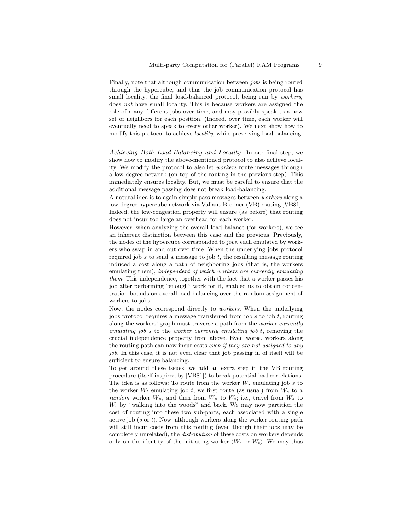Finally, note that although communication between jobs is being routed through the hypercube, and thus the job communication protocol has small locality, the final load-balanced protocol, being run by *workers*, does not have small locality. This is because workers are assigned the role of many different jobs over time, and may possibly speak to a new set of neighbors for each position. (Indeed, over time, each worker will eventually need to speak to every other worker). We next show how to modify this protocol to achieve *locality*, while preserving load-balancing.

Achieving Both Load-Balancing and Locality. In our final step, we show how to modify the above-mentioned protocol to also achieve locality. We modify the protocol to also let workers route messages through a low-degree network (on top of the routing in the previous step). This immediately ensures locality. But, we must be careful to ensure that the additional message passing does not break load-balancing.

A natural idea is to again simply pass messages between workers along a low-degree hypercube network via Valiant-Brebner (VB) routing [VB81]. Indeed, the low-congestion property will ensure (as before) that routing does not incur too large an overhead for each worker.

However, when analyzing the overall load balance (for workers), we see an inherent distinction between this case and the previous. Previously, the nodes of the hypercube corresponded to *jobs*, each emulated by workers who swap in and out over time. When the underlying jobs protocol required job  $s$  to send a message to job  $t$ , the resulting message routing induced a cost along a path of neighboring jobs (that is, the workers emulating them), independent of which workers are currently emulating them. This independence, together with the fact that a worker passes his job after performing "enough" work for it, enabled us to obtain concentration bounds on overall load balancing over the random assignment of workers to jobs.

Now, the nodes correspond directly to workers. When the underlying jobs protocol requires a message transferred from job s to job t, routing along the workers' graph must traverse a path from the worker currently emulating job s to the worker currently emulating job  $t$ , removing the crucial independence property from above. Even worse, workers along the routing path can now incur costs even if they are not assigned to any job. In this case, it is not even clear that job passing in of itself will be sufficient to ensure balancing.

To get around these issues, we add an extra step in the VB routing procedure (itself inspired by [VB81]) to break potential bad correlations. The idea is as follows: To route from the worker  $W_s$  emulating job s to the worker  $W_t$  emulating job t, we first route (as usual) from  $W_s$  to a random worker  $W_u$ , and then from  $W_u$  to  $W_t$ ; i.e., travel from  $W_s$  to  $W_t$  by "walking into the woods" and back. We may now partition the cost of routing into these two sub-parts, each associated with a single active job  $(s \text{ or } t)$ . Now, although workers along the worker-routing path will still incur costs from this routing (even though their jobs may be completely unrelated), the distribution of these costs on workers depends only on the identity of the initiating worker  $(W_s \text{ or } W_t)$ . We may thus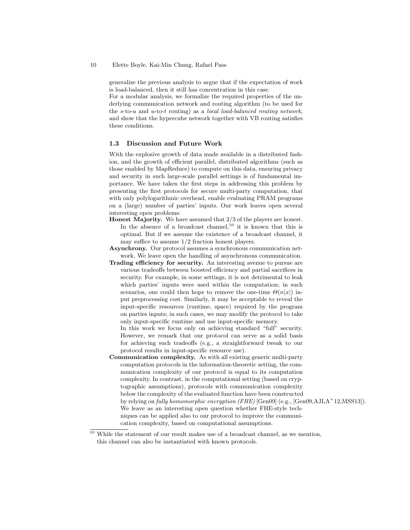generalize the previous analysis to argue that if the expectation of work is load-balanced, then it still has concentration in this case.

For a modular analysis, we formalize the required properties of the underlying communication network and routing algorithm (to be used for the s-to-u and u-to-t routing) as a *local load-balanced routing network*, and show that the hypercube network together with VB routing satisfies these conditions.

## 1.3 Discussion and Future Work

With the explosive growth of data made available in a distributed fashion, and the growth of efficient parallel, distributed algorithms (such as those enabled by MapReduce) to compute on this data, ensuring privacy and security in such large-scale parallel settings is of fundamental importance. We have taken the first steps in addressing this problem by presenting the first protocols for secure multi-party computation, that with only polylogarithmic overhead, enable evaluating PRAM programs on a (large) number of parties' inputs. Our work leaves open several interesting open problems:

- Honest Majority. We have assumed that  $2/3$  of the players are honest. In the absence of a broadcast channel, $^{10}$  it is known that this is optimal. But if we assume the existence of a broadcast channel, it may suffice to assume 1/2 fraction honest players.
- Asynchrony. Our protocol assumes a synchronous communication network. We leave open the handling of asynchronous communication.
- Trading efficiency for security. An interesting avenue to pursue are various tradeoffs between boosted efficiency and partial sacrifices in security. For example, in some settings, it is not detrimental to leak which parties' inputs were used within the computation; in such scenarios, one could then hope to remove the one-time  $\Theta(n|x|)$  input preprocessing cost. Similarly, it may be acceptable to reveal the input-specific resources (runtime, space) required by the program on parties inputs; in such cases, we may modify the protocol to take only input-specific runtime and use input-specific memory.

In this work we focus only on achieving standard "full" security. However, we remark that our protocol can serve as a solid basis for achieving such tradeoffs (e.g., a straightforward tweak to our protocol results in input-specific resource use).

Communication complexity. As with all existing generic multi-party computation protocols in the information-theoretic setting, the communication complexity of our protocol is equal to its computation complexity. In contrast, in the computational setting (based on cryptographic assumptions), protocols with communication complexity below the complexity of the evaluated function have been constructed by relying on fully homomorphic encryption (FHE) [Gen09] (e.g., [Gen09,AJLA<sup>+</sup>12,MSS13]). We leave as an interesting open question whether FHE-style techniques can be applied also to our protocol to improve the communication complexity, based on computational assumptions.

 $^{10}$  While the statement of our result makes use of a broadcast channel, as we mention, this channel can also be instantiated with known protocols.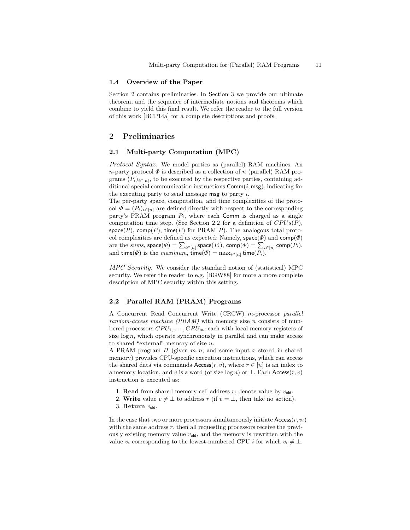#### 1.4 Overview of the Paper

Section 2 contains preliminaries. In Section 3 we provide our ultimate theorem, and the sequence of intermediate notions and theorems which combine to yield this final result. We refer the reader to the full version of this work [BCP14a] for a complete descriptions and proofs.

# 2 Preliminaries

## 2.1 Multi-party Computation (MPC)

Protocol Syntax. We model parties as (parallel) RAM machines. An n-party protocol  $\Phi$  is described as a collection of n (parallel) RAM programs  $(P_i)_{i \in [n]}$ , to be executed by the respective parties, containing additional special communication instructions  $Comm(i, msg)$ , indicating for the executing party to send message msg to party  $i$ .

The per-party space, computation, and time complexities of the protocol  $\Phi = (P_i)_{i \in [n]}$  are defined directly with respect to the corresponding party's PRAM program  $P_i$ , where each Comm is charged as a single computation time step. (See Section 2.2 for a definition of  $CPUs(P)$ , space(P), comp(P), time(P) for PRAM P). The analogous total protocol complexities are defined as expected: Namely,  $space(\Phi)$  and  $comp(\Phi)$ are the  $sums$ ,  ${\sf space}(\varPhi)=\sum_{i\in[n]}{\sf space}(P_i),\,{\sf comp}(\varPhi)=\sum_{i\in[n]}{\sf comp}(P_i),$ and time( $\Phi$ ) is the *maximum*, time( $\Phi$ ) = max<sub>i∈[n]</sub> time( $P_i$ ).

MPC Security. We consider the standard notion of (statistical) MPC security. We refer the reader to e.g. [BGW88] for more a more complete description of MPC security within this setting.

### 2.2 Parallel RAM (PRAM) Programs

A Concurrent Read Concurrent Write (CRCW) m-processor parallel random-access machine (PRAM) with memory size n consists of numbered processors  $CPU_1, \ldots, CPU_m$ , each with local memory registers of size  $log n$ , which operate synchronously in parallel and can make access to shared "external" memory of size n.

A PRAM program  $\Pi$  (given  $m, n$ , and some input x stored in shared memory) provides CPU-specific execution instructions, which can access the shared data via commands  $\text{Access}(r, v)$ , where  $r \in [n]$  is an index to a memory location, and v is a word (of size  $\log n$ ) or  $\perp$ . Each Access $(r, v)$ instruction is executed as:

- 1. **Read** from shared memory cell address r; denote value by  $v_{old}$ .
- 2. Write value  $v \neq \perp$  to address r (if  $v = \perp$ , then take no action).
- 3. Return  $v_{old}$ .

In the case that two or more processors simultaneously initiate  $\mathsf{Access}(r, v_i)$ with the same address  $r$ , then all requesting processors receive the previously existing memory value  $v_{old}$ , and the memory is rewritten with the value  $v_i$  corresponding to the lowest-numbered CPU i for which  $v_i \neq \bot$ .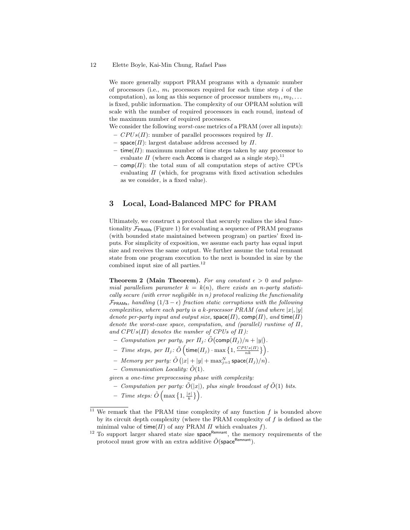We more generally support PRAM programs with a dynamic number of processors (i.e.,  $m_i$  processors required for each time step i of the computation), as long as this sequence of processor numbers  $m_1, m_2, \ldots$ is fixed, public information. The complexity of our OPRAM solution will scale with the number of required processors in each round, instead of the maximum number of required processors.

We consider the following *worst-case* metrics of a PRAM (over all inputs):

- $CPUs(\Pi)$ : number of parallel processors required by  $\Pi$ .
- space( $\Pi$ ): largest database address accessed by  $\Pi$ .
- $-$  time( $\Pi$ ): maximum number of time steps taken by any processor to evaluate  $\Pi$  (where each Access is charged as a single step).<sup>11</sup>
- comp( $\Pi$ ): the total sum of all computation steps of active CPUs evaluating  $\Pi$  (which, for programs with fixed activation schedules as we consider, is a fixed value).

# 3 Local, Load-Balanced MPC for PRAM

Ultimately, we construct a protocol that securely realizes the ideal functionality  $\mathcal{F}_{PRAMS}$  (Figure 1) for evaluating a sequence of PRAM programs (with bounded state maintained between program) on parties' fixed inputs. For simplicity of exposition, we assume each party has equal input size and receives the same output. We further assume the total remnant state from one program execution to the next is bounded in size by the combined input size of all parties.<sup>12</sup>

**Theorem 2 (Main Theorem).** For any constant  $\epsilon > 0$  and polynomial parallelism parameter  $k = k(n)$ , there exists an n-party statistically secure (with error negligible in n) protocol realizing the functionality  $\mathcal{F}_{PRAMS}$ , handling  $(1/3 - \epsilon)$  fraction static corruptions with the following complexities, where each party is a k-processor PRAM (and where  $|x|, |y|$ ) denote per-party input and output size,  $space(\Pi)$ ,  $comp(\Pi)$ , and  $time(\Pi)$ denote the worst-case space, computation, and (parallel) runtime of  $\Pi$ , and  $CPUs(\Pi)$  denotes the number of CPUs of  $\Pi$ ):

- Computation per party, per  $\Pi_j$ :  $\tilde{O}(\text{comp}(H_j)/n + |y|)$ .
- Time steps, per  $\Pi_j$ :  $\tilde{O} \left( \text{time}(H_j) \cdot \max\left\{1, \frac{CPU(s(H))}{nk} \right\} \right)$ .
- $-$  Memory per party:  $\tilde{O}\left(|x|+|y|+\max_{j=1}^N{\sf space}( \Pi_j)/n\right).$
- $-$  Communication Locality:  $\tilde{O}(1)$ .

given a one-time preprocessing phase with complexity:

- Computation per party:  $\tilde{O}(|x|)$ , plus single broadcast of  $\tilde{O}(1)$  bits.
- $-$  Time steps:  $\tilde{O}\left(\max\left\{1,\frac{|x|}{k}\right\}\right)$ .

<sup>&</sup>lt;sup>11</sup> We remark that the PRAM time complexity of any function  $f$  is bounded above by its circuit depth complexity (where the PRAM complexity of  $f$  is defined as the minimal value of time( $\Pi$ ) of any PRAM  $\Pi$  which evaluates  $f$ ).

 $12$  To support larger shared state size space<sup>Remnant</sup>, the memory requirements of the protocol must grow with an extra additive  $\tilde{O}(\text{space}^{\text{Remnant}})$ .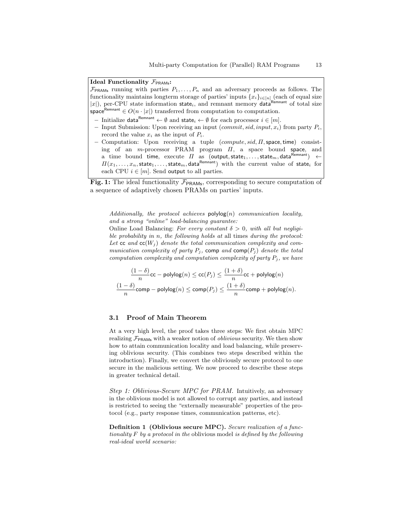Ideal Functionality  $\mathcal{F}_{\text{PRAMS}}$ :

 $\mathcal{F}_{PRAMs}$  running with parties  $P_1, \ldots, P_n$  and an adversary proceeds as follows. The functionality maintains longterm storage of parties' inputs  ${x_i}_{i\in[n]}$  (each of equal size  $|x|$ ), per-CPU state information state<sub>i</sub>, and remnant memory data<sup>Remnant</sup> of total size space<sup>Remnant</sup>  $\in O(n \cdot |x|)$  transferred from computation to computation.

- Initialize data<sup>Remnant</sup> ← Ø and state<sub>i</sub> ← Ø for each processor  $i \in [m]$ .
- Input Submission: Upon receiving an input (commit, sid, input,  $x_i$ ) from party  $P_i$ , record the value  $x_i$  as the input of  $P_i$ .
- Computation: Upon receiving a tuple  $(compute, sid, II, space, time)$  consisting of an  $m$ -processor PRAM program  $\Pi$ , a space bound space, and a time bound time, execute  $\Pi$  as (output, state<sub>1</sub>, ..., state<sub>m</sub>, data<sup>Remnant</sup>) ←  $\Pi(x_1,\ldots,x_n,\textsf{state}_1,\ldots,\textsf{state}_m,\textsf{data}^\textsf{Remnant})$  with the current value of state<sub>i</sub> for each CPU  $i \in [m]$ . Send output to all parties.

Fig. 1: The ideal functionality  $\mathcal{F}_{PRAMS}$ , corresponding to secure computation of a sequence of adaptively chosen PRAMs on parties' inputs.

Additionally, the protocol achieves  $polylog(n)$  communication locality, and a strong "online" load-balancing guarantee:

Online Load Balancing: For every constant  $\delta > 0$ , with all but negligible probability in n, the following holds at all times during the protocol: Let cc and  $cc(W_j)$  denote the total communication complexity and communication complexity of party  $P_i$ , comp and comp $(P_i)$  denote the total computation complexity and computation complexity of party  $P_j$ , we have

$$
\cfrac{(1-\delta)}{n}\mathsf{cc}-\mathsf{polylog}(n)\leq \mathsf{cc}(P_j)\leq \cfrac{(1+\delta)}{n}\mathsf{cc}+\mathsf{polylog}(n)\\\cfrac{(1-\delta)}{n}\mathsf{comp}-\mathsf{polylog}(n)\leq \mathsf{comp}(P_j)\leq \cfrac{(1+\delta)}{n}\mathsf{comp}+\mathsf{polylog}(n).
$$

### 3.1 Proof of Main Theorem

At a very high level, the proof takes three steps: We first obtain MPC realizing  $\mathcal{F}_{PRAMS}$  with a weaker notion of *oblivious* security. We then show how to attain communication locality and load balancing, while preserving oblivious security. (This combines two steps described within the introduction). Finally, we convert the obliviously secure protocol to one secure in the malicious setting. We now proceed to describe these steps in greater technical detail.

Step 1: Oblivious-Secure MPC for PRAM. Intuitively, an adversary in the oblivious model is not allowed to corrupt any parties, and instead is restricted to seeing the "externally measurable" properties of the protocol (e.g., party response times, communication patterns, etc).

Definition 1 (Oblivious secure MPC). Secure realization of a functionality  $F$  by a protocol in the oblivious model is defined by the following real-ideal world scenario: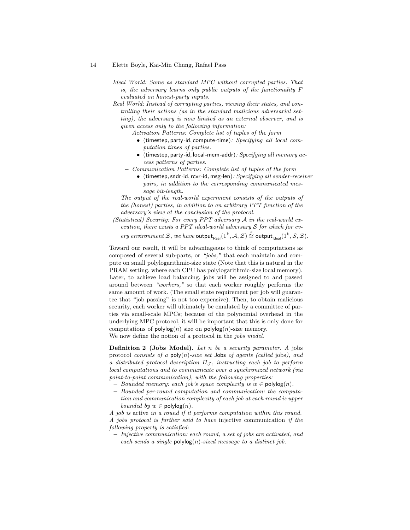- Ideal World: Same as standard MPC without corrupted parties. That is, the adversary learns only public outputs of the functionality F evaluated on honest-party inputs.
- Real World: Instead of corrupting parties, viewing their states, and controlling their actions (as in the standard malicious adversarial setting), the adversary is now limited as an external observer, and is given access only to the following information:
	- Activation Patterns: Complete list of tuples of the form
		- (timestep, party-id, compute-time): Specifying all local computation times of parties.
		- $\bullet$  (timestep, party-id, local-mem-addr): Specifying all memory access patterns of parties.
	- Communication Patterns: Complete list of tuples of the form
		- $\bullet$  (timestep, sndr-id, rcvr-id, msg-len): Specifying all sender-receiver pairs, in addition to the corresponding communicated message bit-length.

The output of the real-world experiment consists of the outputs of the (honest) parties, in addition to an arbitrary PPT function of the adversary's view at the conclusion of the protocol.

(Statistical) Security: For every PPT adversary A in the real-world execution, there exists a PPT ideal-world adversary  $S$  for which for every environment  $\mathcal{Z}$ , we have output<sub>Real</sub>  $(1^k, \mathcal{A}, \mathcal{Z}) \stackrel{s}{\cong}$  output<sub>Ideal</sub>  $(1^k, \mathcal{S}, \mathcal{Z})$ .

Toward our result, it will be advantageous to think of computations as composed of several sub-parts, or "jobs," that each maintain and compute on small polylogarithmic-size state (Note that this is natural in the PRAM setting, where each CPU has polylogarithmic-size local memory). Later, to achieve load balancing, jobs will be assigned to and passed around between "workers," so that each worker roughly performs the same amount of work. (The small state requirement per job will guarantee that "job passing" is not too expensive). Then, to obtain malicious security, each worker will ultimately be emulated by a committee of parties via small-scale MPCs; because of the polynomial overhead in the underlying MPC protocol, it will be important that this is only done for computations of  $polylog(n)$  size on  $polylog(n)$ -size memory. We now define the notion of a protocol in the *jobs model*.

**Definition 2 (Jobs Model).** Let n be a security parameter. A jobs protocol consists of a  $poly(n)$ -size set Jobs of agents (called jobs), and a distributed protocol description  $\Pi_{\mathcal{J}}$ , instructing each job to perform local computations and to communicate over a synchronized network (via point-to-point communication), with the following properties:

- Bounded memory: each job's space complexity is  $w \in \text{polylog}(n)$ .
- Bounded per-round computation and communication: the computation and communication complexity of each job at each round is upper bounded by  $w \in \text{polylog}(n)$ .

A job is active in a round if it performs computation within this round. A jobs protocol is further said to have injective communication if the following property is satisfied:

– Injective communication: each round, a set of jobs are activated, and each sends a single  $polylog(n)$ -sized message to a distinct job.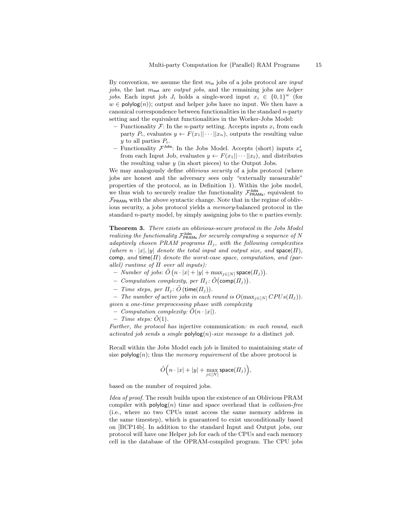By convention, we assume the first  $m_{\text{in}}$  jobs of a jobs protocol are *input* jobs, the last  $m_{\text{out}}$  are *output jobs*, and the remaining jobs are *helper* jobs. Each input job  $J_i$  holds a single-word input  $x_i \in \{0,1\}^w$  (for  $w \in \text{polylog}(n)$ ; output and helper jobs have no input. We then have a canonical correspondence between functionalities in the standard n-party setting and the equivalent functionalities in the Worker-Jobs Model:

- Functionality  $\mathcal{F}$ : In the *n*-party setting. Accepts inputs  $x_i$  from each party  $P_i$ , evaluates  $y \leftarrow F(x_1|| \cdots ||x_n)$ , outputs the resulting value y to all parties  $P_i$ .
- Functionality  $\mathcal{F}^{\text{Jobs}}$ : In the Jobs Model. Accepts (short) inputs  $x_u^i$ from each Input Job, evaluates  $y \leftarrow F(x_1|| \cdots ||x_\ell)$ , and distributes the resulting value y (in short pieces) to the Output Jobs.

We may analogously define *oblivious security* of a jobs protocol (where jobs are honest and the adversary sees only "externally measurable" properties of the protocol, as in Definition 1). Within the jobs model, we thus wish to securely realize the functionality  $\mathcal{F}_{PRAMS}^{Jobs}$ , equivalent to  $\mathcal{F}_{PRAMS}$  with the above syntactic change. Note that in the regime of oblivious security, a jobs protocol yields a memory-balanced protocol in the standard n-party model, by simply assigning jobs to the n parties evenly.

Theorem 3. There exists an oblivious-secure protocol in the Jobs Model realizing the functionality  $\mathcal{F}_{\text{PRAMS}}^{\text{loss}}$  for securely computing a sequence of N adaptively chosen PRAM programs  $\Pi_j$ , with the following complexities (where  $n \cdot |x|$ , |y| denote the total input and output size, and  $\mathsf{space}(\Pi)$ , comp, and time $(\Pi)$  denote the worst-case space, computation, and (parallel) runtime of  $\Pi$  over all inputs):

- $-$  Number of jobs:  $\tilde{O}\left(n \cdot |x| + |y| + \max_{j \in [N]}{\sf space}(H_j)\right)$ .
- Computation complexity, per  $\Pi_j$ :  $\tilde{O}(\text{comp}(H_j)).$
- Time steps, per  $\Pi_i$ :  $\tilde{O}$  (time( $\Pi_i$ )).

– The number of active jobs in each round is  $O(\max_{j\in[N]} CPUs(\Pi_j)).$ given a one-time preprocessing phase with complexity

- Computation complexity:  $\tilde{O}(n \cdot |x|)$ .
- Time steps:  $O(1)$ .

Further, the protocol has injective communication: in each round, each activated job sends a single  $polylog(n)$ -size message to a distinct job.

Recall within the Jobs Model each job is limited to maintaining state of size  $\mathsf{polylog}(n)$ ; thus the *memory requirement* of the above protocol is

$$
\tilde{O}\Big(n\cdot |x| + |y| + \max_{j\in [N]}\texttt{space}(\varPi_j)\Big),
$$

based on the number of required jobs.

Idea of proof. The result builds upon the existence of an Oblivious PRAM compiler with  $polylog(n)$  time and space overhead that is *collision-free* (i.e., where no two CPUs must access the same memory address in the same timestep), which is guaranteed to exist unconditionally based on [BCP14b]. In addition to the standard Input and Output jobs, our protocol will have one Helper job for each of the CPUs and each memory cell in the database of the OPRAM-compiled program. The CPU jobs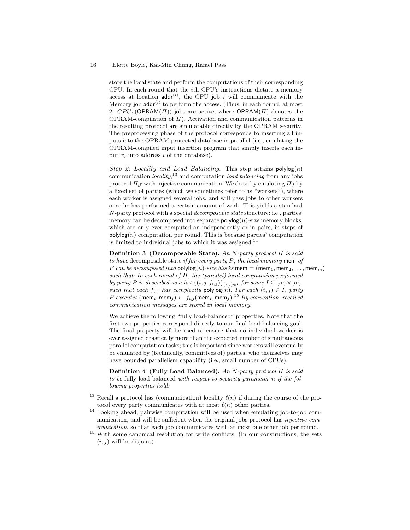store the local state and perform the computations of their corresponding CPU. In each round that the ith CPU's instructions dictate a memory access at location  $\mathsf{addr}^{(i)}$ , the CPU job i will communicate with the Memory job  $\mathsf{addr}^{(i)}$  to perform the access. (Thus, in each round, at most  $2 \cdot CPUs$ (OPRAM( $\Pi$ )) jobs are active, where OPRAM( $\Pi$ ) denotes the OPRAM-compilation of  $\Pi$ ). Activation and communication patterns in the resulting protocol are simulatable directly by the OPRAM security. The preprocessing phase of the protocol corresponds to inserting all inputs into the OPRAM-protected database in parallel (i.e., emulating the OPRAM-compiled input insertion program that simply inserts each input  $x_i$  into address i of the database).

Step 2: Locality and Load Balancing. This step attains  $polylog(n)$ communication *locality*<sup>13</sup> and computation *load balancing* from any jobs protocol  $\Pi_{\mathcal{J}}$  with injective communication. We do so by emulating  $\Pi_{J}$  by a fixed set of parties (which we sometimes refer to as "workers"), where each worker is assigned several jobs, and will pass jobs to other workers once he has performed a certain amount of work. This yields a standard N-party protocol with a special decomposable state structure: i.e., parties' memory can be decomposed into separate  $\text{polylog}(n)$ -size memory blocks, which are only ever computed on independently or in pairs, in steps of  $polylog(n)$  computation per round. This is because parties' computation is limited to individual jobs to which it was assigned. $^{14}$ 

Definition 3 (Decomposable State). An N-party protocol  $\Pi$  is said to have decomposable state if for every party  $P$ , the local memory mem of P can be decomposed into  $polylog(n)$ -size blocks mem =  $(\text{mem}_1, \text{mem}_2, \ldots, \text{mem}_m)$ such that: In each round of  $\Pi$ , the (parallel) local computation performed by party P is described as a list  $\{(i, j, f_{i,j})\}_{(i,j)\in I}$  for some  $I \subseteq [m] \times [m]$ , such that each  $f_{i,j}$  has complexity  $\text{polylog}(n)$ . For each  $(i,j) \in I$ , party  $P \text{ } executes \textup{ } (\mathsf{mem}_i, \mathsf{mem}_j) \leftarrow f_{i,j}(\mathsf{mem}_i, \mathsf{mem}_j).^{15} \text{ } By \text{ } convention, \text{ } received$ communication messages are stored in local memory.

We achieve the following "fully load-balanced" properties. Note that the first two properties correspond directly to our final load-balancing goal. The final property will be used to ensure that no individual worker is ever assigned drastically more than the expected number of simultaneous parallel computation tasks; this is important since workers will eventually be emulated by (technically, committees of) parties, who themselves may have bounded parallelism capability (i.e., small number of CPUs).

Definition 4 (Fully Load Balanced). An N-party protocol  $\Pi$  is said to be fully load balanced with respect to security parameter n if the following properties hold:

- <sup>14</sup> Looking ahead, pairwise computation will be used when emulating job-to-job communication, and will be sufficient when the original jobs protocol has injective communication, so that each job communicates with at most one other job per round.
- <sup>15</sup> With some canonical resolution for write conflicts. (In our constructions, the sets  $(i, j)$  will be disjoint).

<sup>&</sup>lt;sup>13</sup> Recall a protocol has (communication) locality  $\ell(n)$  if during the course of the protocol every party communicates with at most  $\ell(n)$  other parties.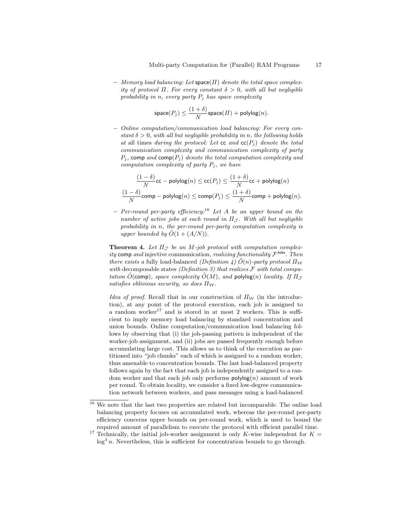– Memory load balancing: Let  $space(\Pi)$  denote the total space complexity of protocol  $\Pi$ . For every constant  $\delta > 0$ , with all but negligible probability in n, every party  $P_i$  has space complexity

$$
\text{space}(P_j) \leq \frac{(1+\delta)}{N}\text{space}(\varPi) + \text{polylog}(n).
$$

– Online computation/communication load balancing: For every constant  $\delta > 0$ , with all but negligible probability in n, the following holds at all times during the protocol: Let  $\mathsf{cc}$  and  $\mathsf{cc}(P_i)$  denote the total communication complexity and communication complexity of party  $P_i$ , comp and comp( $P_i$ ) denote the total computation complexity and computation complexity of party  $P_j$ , we have

$$
\frac{(1-\delta)}{N}\mathsf{cc}-\mathsf{polylog}(n) \leq \mathsf{cc}(P_j) \leq \frac{(1+\delta)}{N}\mathsf{cc}+\mathsf{polylog}(n)\\\frac{(1-\delta)}{N}\mathsf{comp}-\mathsf{polylog}(n) \leq \mathsf{comp}(P_j) \leq \frac{(1+\delta)}{N}\mathsf{comp}+\mathsf{polylog}(n).
$$

 $-$  Per-round per-party efficiency:<sup>16</sup> Let A be an upper bound on the number of active jobs at each round in  $\Pi$ <sub>7</sub>. With all but negligible probability in n, the per-round per-party computation complexity is upper bounded by  $O(1 + (A/N))$ .

**Theorem 4.** Let  $\Pi_{\mathcal{J}}$  be an M-job protocol with computation complexity comp and injective communication, realizing functionality  $\mathcal{F}^{\text{Jobs}}$ . Then there exists a fully load-balanced (Definition 4)  $\tilde{O}(n)$ -party protocol  $\Pi_{\mathcal{W}}$ with decomposable states (Definition 3) that realizes  $\mathcal F$  with total computation  $\tilde{O}(\text{comp})$ , space complexity  $\tilde{O}(M)$ , and polylog $(n)$  locality. If  $\Pi_{\mathcal{J}}$ satisfies oblivious security, so does  $\Pi_{\mathcal{W}}$ .

Idea of proof. Recall that in our construction of  $\Pi_{\mathcal{W}}$  (in the introduction), at any point of the protocol execution, each job is assigned to a random worker<sup>17</sup> and is stored in at most 2 workers. This is sufficient to imply memory load balancing by standard concentration and union bounds. Online computation/communication load balancing follows by observing that (i) the job-passing pattern is independent of the worker-job assignment, and (ii) jobs are passed frequently enough before accumulating large cost. This allows us to think of the execution as partitioned into "job chunks" each of which is assigned to a random worker, thus amenable to concentration bounds. The last load-balanced property follows again by the fact that each job is independently assigned to a random worker and that each job only performs  $polylog(n)$  amount of work per round. To obtain locality, we consider a fixed low-degree communication network between workers, and pass messages using a load-balanced

 $16$  We note that the last two properties are related but incomparable. The online load balancing property focuses on accumulated work, whereas the per-round per-party efficiency concerns upper bounds on per-round work, which is used to bound the required amount of parallelism to execute the protocol with efficient parallel time.

<sup>&</sup>lt;sup>17</sup> Technically, the initial job-worker assignment is only K-wise independent for  $K =$  $\log^3 n$ . Nevertheless, this is sufficient for concentration bounds to go through.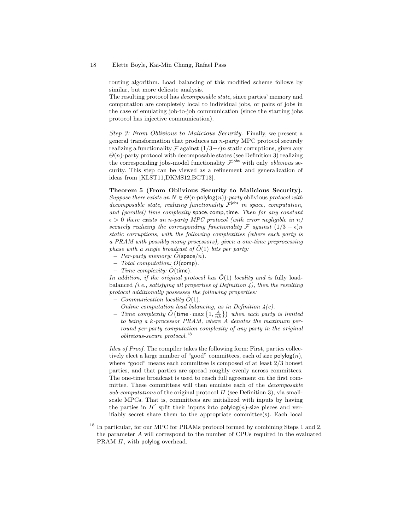routing algorithm. Load balancing of this modified scheme follows by similar, but more delicate analysis.

The resulting protocol has decomposable state, since parties' memory and computation are completely local to individual jobs, or pairs of jobs in the case of emulating job-to-job communication (since the starting jobs protocol has injective communication).

Step 3: From Oblivious to Malicious Security. Finally, we present a general transformation that produces an n-party MPC protocol securely realizing a functionality F against  $(1/3-\epsilon)n$  static corruptions, given any  $\tilde{\Theta}(n)$ -party protocol with decomposable states (see Definition 3) realizing the corresponding jobs-model functionality  $\mathcal{F}^{\text{jobs}}$  with only *oblivious* security. This step can be viewed as a refinement and generalization of ideas from [KLST11,DKMS12,BGT13].

Theorem 5 (From Oblivious Security to Malicious Security). Suppose there exists an  $N \in \Theta(n$ -polylog $(n)$ )-party oblivious protocol with decomposable state, realizing functionality  $\mathcal{F}^{\text{obs}}$  in space, computation, and (parallel) time complexity space, comp, time. Then for any constant  $\epsilon > 0$  there exists an n-party MPC protocol (with error negligible in n) securely realizing the corresponding functionality F against  $(1/3 - \epsilon)n$ static corruptions, with the following complexities (where each party is a PRAM with possibly many processors), given a one-time preprocessing phase with a single broadcast of  $\tilde{O}(1)$  bits per party:

- $-$  Per-party memory:  $\tilde{O}(\text{space}/n)$ .
- Total computation:  $\tilde{O}(\text{comp}).$
- Time complexity:  $\dot{O}(\text{time})$ .

In addition, if the original protocol has  $\tilde{O}(1)$  locality and is fully loadbalanced (i.e., satisfying all properties of Definition  $\lambda$ ), then the resulting protocol additionally possesses the following properties:

- $-$  Communication locality  $O(1)$ .
- $-$  Online computation load balancing, as in Definition  $4(c)$ .
- Time complexity  $\tilde{O}$  (time  $\cdot$  max  $\left\{1, \frac{A}{nk}\right\}$ ) when each party is limited to being a k-processor PRAM, where A denotes the maximum perround per-party computation complexity of any party in the original  $oblivious\text{-}secure\ protocol.^{18}$

Idea of Proof. The compiler takes the following form: First, parties collectively elect a large number of "good" committees, each of size  $\mathsf{polylog}(n)$ , where "good" means each committee is composed of at least  $2/3$  honest parties, and that parties are spread roughly evenly across committees. The one-time broadcast is used to reach full agreement on the first committee. These committees will then emulate each of the decomposable sub-computations of the original protocol  $\Pi$  (see Definition 3), via smallscale MPCs. That is, committees are initialized with inputs by having the parties in  $\Pi'$  split their inputs into polylog(n)-size pieces and verifiably secret share them to the appropriate committee(s). Each local

 $^{18}$  In particular, for our MPC for PRAMs protocol formed by combining Steps 1 and 2, the parameter A will correspond to the number of CPUs required in the evaluated PRAM  $\Pi$ , with polylog overhead.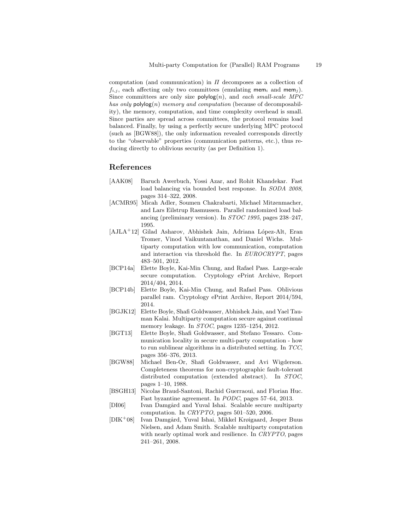computation (and communication) in  $\Pi$  decomposes as a collection of  $f_{i,j}$ , each affecting only two committees (emulating mem<sub>i</sub> and mem<sub>i</sub>). Since committees are only size  $\mathsf{polylog}(n)$ , and each small-scale MPC has only  $\mathsf{polylog}(n)$  memory and computation (because of decomposability), the memory, computation, and time complexity overhead is small. Since parties are spread across committees, the protocol remains load balanced. Finally, by using a perfectly secure underlying MPC protocol (such as [BGW88]), the only information revealed corresponds directly to the "observable" properties (communication patterns, etc.), thus reducing directly to oblivious security (as per Definition 1).

# References

- [AAK08] Baruch Awerbuch, Yossi Azar, and Rohit Khandekar. Fast load balancing via bounded best response. In SODA 2008, pages 314–322, 2008.
- [ACMR95] Micah Adler, Soumen Chakrabarti, Michael Mitzenmacher, and Lars Eilstrup Rasmussen. Parallel randomized load balancing (preliminary version). In STOC 1995, pages 238–247, 1995.
- [AJLA<sup>+</sup>12] Gilad Asharov, Abhishek Jain, Adriana López-Alt, Eran Tromer, Vinod Vaikuntanathan, and Daniel Wichs. Multiparty computation with low communication, computation and interaction via threshold fhe. In EUROCRYPT, pages 483–501, 2012.
- [BCP14a] Elette Boyle, Kai-Min Chung, and Rafael Pass. Large-scale secure computation. Cryptology ePrint Archive, Report 2014/404, 2014.
- [BCP14b] Elette Boyle, Kai-Min Chung, and Rafael Pass. Oblivious parallel ram. Cryptology ePrint Archive, Report 2014/594, 2014.
- [BGJK12] Elette Boyle, Shafi Goldwasser, Abhishek Jain, and Yael Tauman Kalai. Multiparty computation secure against continual memory leakage. In STOC, pages 1235–1254, 2012.
- [BGT13] Elette Boyle, Shafi Goldwasser, and Stefano Tessaro. Communication locality in secure multi-party computation - how to run sublinear algorithms in a distributed setting. In TCC, pages 356–376, 2013.
- [BGW88] Michael Ben-Or, Shafi Goldwasser, and Avi Wigderson. Completeness theorems for non-cryptographic fault-tolerant distributed computation (extended abstract). In STOC, pages 1–10, 1988.
- [BSGH13] Nicolas Braud-Santoni, Rachid Guerraoui, and Florian Huc. Fast byzantine agreement. In PODC, pages 57–64, 2013.
- [DI06] Ivan Damgård and Yuval Ishai. Scalable secure multiparty computation. In CRYPTO, pages 501–520, 2006.
- [DIK<sup>+</sup>08] Ivan Damgård, Yuval Ishai, Mikkel Krøigaard, Jesper Buus Nielsen, and Adam Smith. Scalable multiparty computation with nearly optimal work and resilience. In CRYPTO, pages 241–261, 2008.